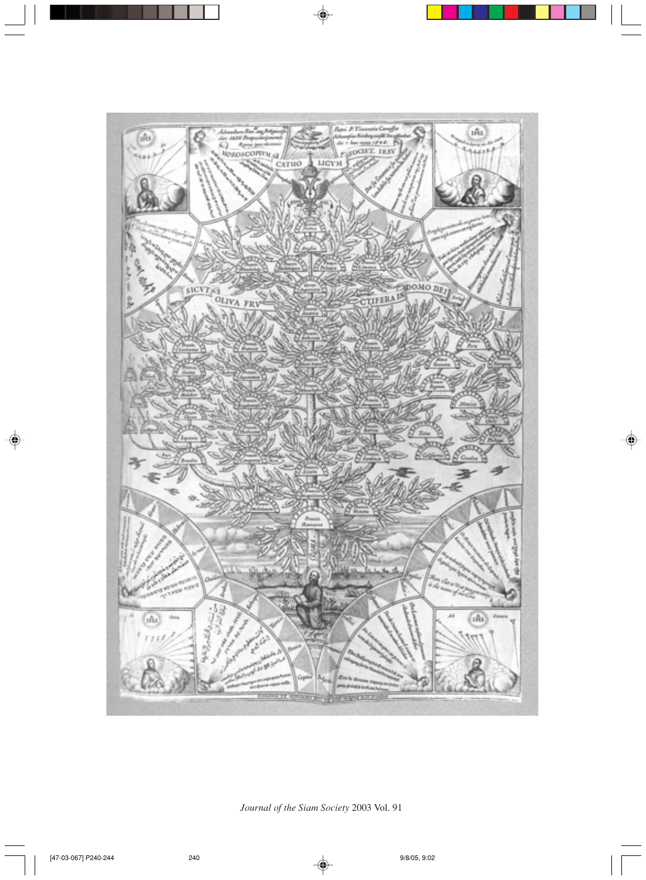

 $\color{red}\blacklozenge$ 

Journal of the Siam Society 2003 Vol. 91

 $\bigoplus$ 

 $\blacklozenge$ 

 $\overline{\mathcal{F}^{\mathcal{F}}}$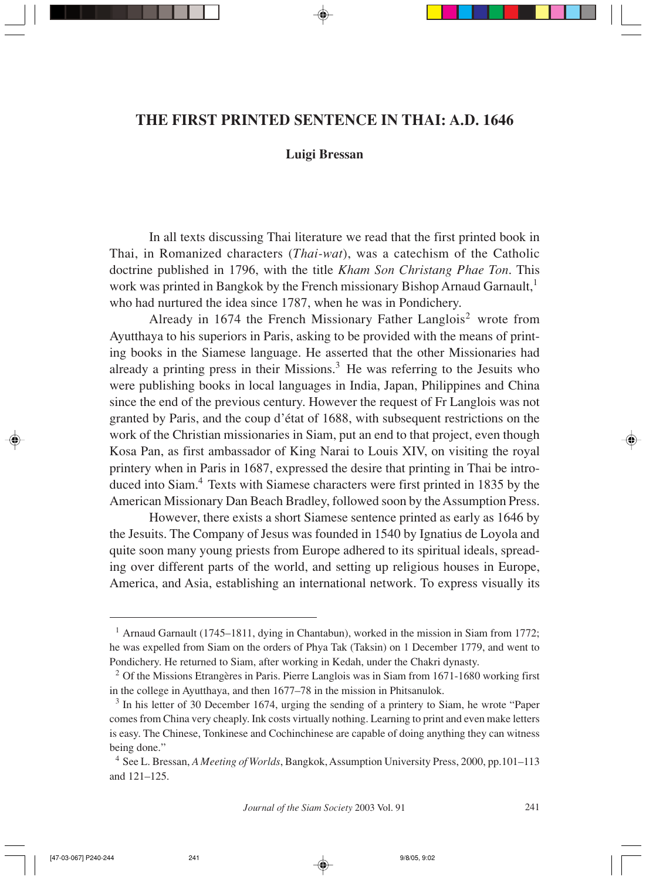## **THE FIRST PRINTED SENTENCE IN THAI: A.D. 1646**

## **Luigi Bressan**

In all texts discussing Thai literature we read that the first printed book in Thai, in Romanized characters (*Thai-wat*), was a catechism of the Catholic doctrine published in 1796, with the title *Kham Son Christang Phae Ton*. This work was printed in Bangkok by the French missionary Bishop Arnaud Garnault,<sup>1</sup> who had nurtured the idea since 1787, when he was in Pondichery.

Already in 1674 the French Missionary Father Langlois<sup>2</sup> wrote from Ayutthaya to his superiors in Paris, asking to be provided with the means of printing books in the Siamese language. He asserted that the other Missionaries had already a printing press in their Missions. $3$  He was referring to the Jesuits who were publishing books in local languages in India, Japan, Philippines and China since the end of the previous century. However the request of Fr Langlois was not granted by Paris, and the coup d'état of 1688, with subsequent restrictions on the work of the Christian missionaries in Siam, put an end to that project, even though Kosa Pan, as first ambassador of King Narai to Louis XIV, on visiting the royal printery when in Paris in 1687, expressed the desire that printing in Thai be introduced into Siam.4 Texts with Siamese characters were first printed in 1835 by the American Missionary Dan Beach Bradley, followed soon by the Assumption Press.

However, there exists a short Siamese sentence printed as early as 1646 by the Jesuits. The Company of Jesus was founded in 1540 by Ignatius de Loyola and quite soon many young priests from Europe adhered to its spiritual ideals, spreading over different parts of the world, and setting up religious houses in Europe, America, and Asia, establishing an international network. To express visually its

<sup>&</sup>lt;sup>1</sup> Arnaud Garnault (1745–1811, dying in Chantabun), worked in the mission in Siam from 1772; he was expelled from Siam on the orders of Phya Tak (Taksin) on 1 December 1779, and went to Pondichery. He returned to Siam, after working in Kedah, under the Chakri dynasty.

<sup>&</sup>lt;sup>2</sup> Of the Missions Etrangères in Paris. Pierre Langlois was in Siam from 1671-1680 working first in the college in Ayutthaya, and then 1677–78 in the mission in Phitsanulok.

<sup>&</sup>lt;sup>3</sup> In his letter of 30 December 1674, urging the sending of a printery to Siam, he wrote "Paper comes from China very cheaply. Ink costs virtually nothing. Learning to print and even make letters is easy. The Chinese, Tonkinese and Cochinchinese are capable of doing anything they can witness being done."

<sup>4</sup> See L. Bressan, *A Meeting of Worlds*, Bangkok, Assumption University Press, 2000, pp.101–113 and 121–125.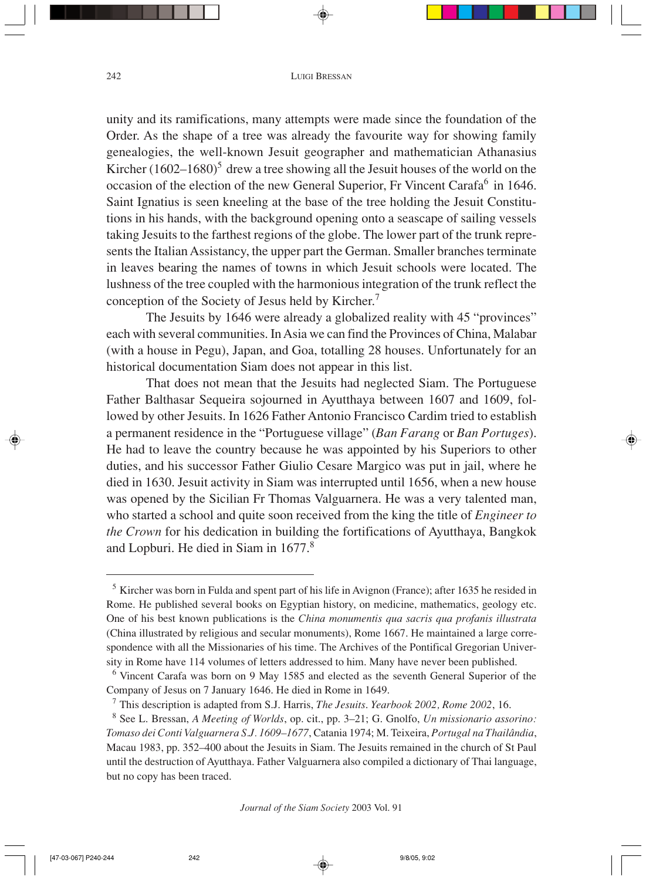unity and its ramifications, many attempts were made since the foundation of the Order. As the shape of a tree was already the favourite way for showing family genealogies, the well-known Jesuit geographer and mathematician Athanasius Kircher  $(1602-1680)^5$  drew a tree showing all the Jesuit houses of the world on the occasion of the election of the new General Superior, Fr Vincent Carafa<sup>6</sup> in 1646. Saint Ignatius is seen kneeling at the base of the tree holding the Jesuit Constitutions in his hands, with the background opening onto a seascape of sailing vessels taking Jesuits to the farthest regions of the globe. The lower part of the trunk represents the Italian Assistancy, the upper part the German. Smaller branches terminate in leaves bearing the names of towns in which Jesuit schools were located. The lushness of the tree coupled with the harmonious integration of the trunk reflect the conception of the Society of Jesus held by Kircher.<sup>7</sup>

The Jesuits by 1646 were already a globalized reality with 45 "provinces" each with several communities. In Asia we can find the Provinces of China, Malabar (with a house in Pegu), Japan, and Goa, totalling 28 houses. Unfortunately for an historical documentation Siam does not appear in this list.

That does not mean that the Jesuits had neglected Siam. The Portuguese Father Balthasar Sequeira sojourned in Ayutthaya between 1607 and 1609, followed by other Jesuits. In 1626 Father Antonio Francisco Cardim tried to establish a permanent residence in the "Portuguese village" (*Ban Farang* or *Ban Portuges*). He had to leave the country because he was appointed by his Superiors to other duties, and his successor Father Giulio Cesare Margico was put in jail, where he died in 1630. Jesuit activity in Siam was interrupted until 1656, when a new house was opened by the Sicilian Fr Thomas Valguarnera. He was a very talented man, who started a school and quite soon received from the king the title of *Engineer to the Crown* for his dedication in building the fortifications of Ayutthaya, Bangkok and Lopburi. He died in Siam in 1677.<sup>8</sup>

*Journal of the Siam Society* 2003 Vol. 91

 $<sup>5</sup>$  Kircher was born in Fulda and spent part of his life in Avignon (France); after 1635 he resided in</sup> Rome. He published several books on Egyptian history, on medicine, mathematics, geology etc. One of his best known publications is the *China monumentis qua sacris qua profanis illustrata* (China illustrated by religious and secular monuments), Rome 1667. He maintained a large correspondence with all the Missionaries of his time. The Archives of the Pontifical Gregorian University in Rome have 114 volumes of letters addressed to him. Many have never been published.

<sup>6</sup> Vincent Carafa was born on 9 May 1585 and elected as the seventh General Superior of the Company of Jesus on 7 January 1646. He died in Rome in 1649.

<sup>7</sup> This description is adapted from S.J. Harris, *The Jesuits*. *Yearbook 2002, Rome 2002*, 16.

<sup>8</sup> See L. Bressan, *A Meeting of Worlds*, op. cit., pp. 3–21; G. Gnolfo, *Un missionario assorino: Tomaso dei Conti Valguarnera S.J. 1609–1677*, Catania 1974; M. Teixeira, *Portugal na Thailândia*, Macau 1983, pp. 352–400 about the Jesuits in Siam. The Jesuits remained in the church of St Paul until the destruction of Ayutthaya. Father Valguarnera also compiled a dictionary of Thai language, but no copy has been traced.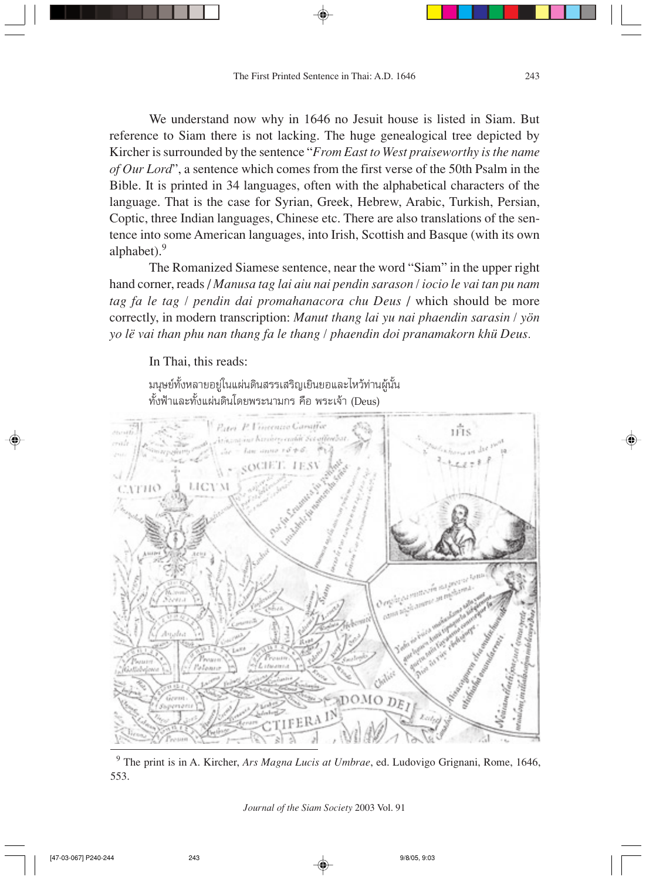We understand now why in 1646 no Jesuit house is listed in Siam. But reference to Siam there is not lacking. The huge genealogical tree depicted by Kircher is surrounded by the sentence "*From East to West praiseworthy is the name of Our Lord*", a sentence which comes from the first verse of the 50th Psalm in the Bible. It is printed in 34 languages, often with the alphabetical characters of the language. That is the case for Syrian, Greek, Hebrew, Arabic, Turkish, Persian, Coptic, three Indian languages, Chinese etc. There are also translations of the sentence into some American languages, into Irish, Scottish and Basque (with its own alphabet).<sup>9</sup>

The Romanized Siamese sentence, near the word "Siam" in the upper right hand corner, reads / *Manusa tag lai aiu nai pendin sarason / iocio le vai tan pu nam tag fa le tag / pendin dai promahanacora chu Deus* / which should be more correctly, in modern transcription: *Manut thang lai yu nai phaendin sarasin / yön yo lë vai than phu nan thang fa le thang / phaendin doi pranamakorn khü Deus.*

In Thai, this reads:

้มนุษย์ทั้งหลายอยู่ในแผ่นดินสรรเสริญเยินยอและไหว้ท่านผู้นั้น ทั้งฟ้าและทั้งแผ่นดินโดยพระนามกร คือ พระเจ้า (Deus)



<sup>9</sup> The print is in A. Kircher, *Ars Magna Lucis at Umbrae*, ed. Ludovigo Grignani, Rome, 1646, 553.

*Journal of the Siam Society* 2003 Vol. 91